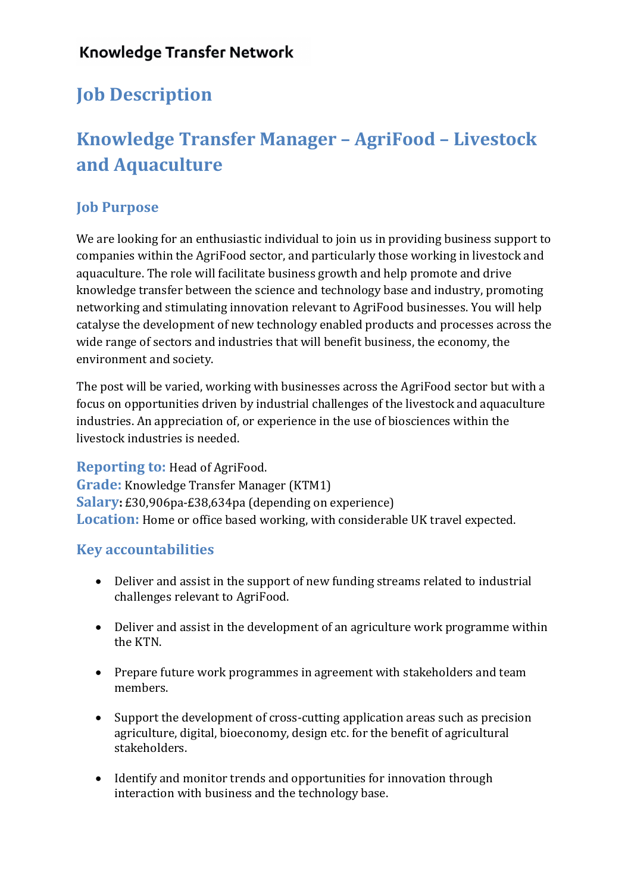## **Knowledge Transfer Network**

## **Job Description**

# **Knowledge Transfer Manager – AgriFood – Livestock and Aquaculture**

### **Job Purpose**

We are looking for an enthusiastic individual to join us in providing business support to companies within the AgriFood sector, and particularly those working in livestock and aquaculture. The role will facilitate business growth and help promote and drive knowledge transfer between the science and technology base and industry, promoting networking and stimulating innovation relevant to AgriFood businesses. You will help catalyse the development of new technology enabled products and processes across the wide range of sectors and industries that will benefit business, the economy, the environment and society.

The post will be varied, working with businesses across the AgriFood sector but with a focus on opportunities driven by industrial challenges of the livestock and aquaculture industries. An appreciation of, or experience in the use of biosciences within the livestock industries is needed.

**Reporting to: Head of AgriFood. Grade:** Knowledge Transfer Manager (KTM1) **Salary:** £30,906pa-£38,634pa (depending on experience) **Location:** Home or office based working, with considerable UK travel expected.

#### **Key accountabilities**

- Deliver and assist in the support of new funding streams related to industrial challenges relevant to AgriFood.
- Deliver and assist in the development of an agriculture work programme within the KTN.
- Prepare future work programmes in agreement with stakeholders and team members.
- Support the development of cross-cutting application areas such as precision agriculture, digital, bioeconomy, design etc. for the benefit of agricultural stakeholders.
- Identify and monitor trends and opportunities for innovation through interaction with business and the technology base.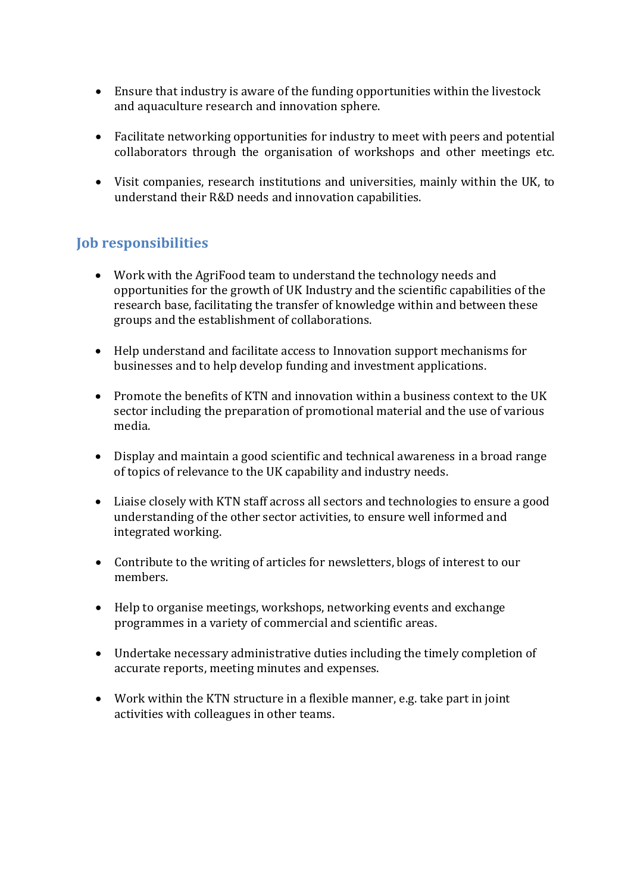- Ensure that industry is aware of the funding opportunities within the livestock and aquaculture research and innovation sphere.
- Facilitate networking opportunities for industry to meet with peers and potential collaborators through the organisation of workshops and other meetings etc.
- Visit companies, research institutions and universities, mainly within the UK, to understand their R&D needs and innovation capabilities.

#### **Job responsibilities**

- Work with the AgriFood team to understand the technology needs and opportunities for the growth of UK Industry and the scientific capabilities of the research base, facilitating the transfer of knowledge within and between these groups and the establishment of collaborations.
- Help understand and facilitate access to Innovation support mechanisms for businesses and to help develop funding and investment applications.
- Promote the benefits of KTN and innovation within a business context to the UK sector including the preparation of promotional material and the use of various media.
- Display and maintain a good scientific and technical awareness in a broad range of topics of relevance to the UK capability and industry needs.
- Liaise closely with KTN staff across all sectors and technologies to ensure a good understanding of the other sector activities, to ensure well informed and integrated working.
- Contribute to the writing of articles for newsletters, blogs of interest to our members.
- Help to organise meetings, workshops, networking events and exchange programmes in a variety of commercial and scientific areas.
- Undertake necessary administrative duties including the timely completion of accurate reports, meeting minutes and expenses.
- Work within the KTN structure in a flexible manner, e.g. take part in joint activities with colleagues in other teams.